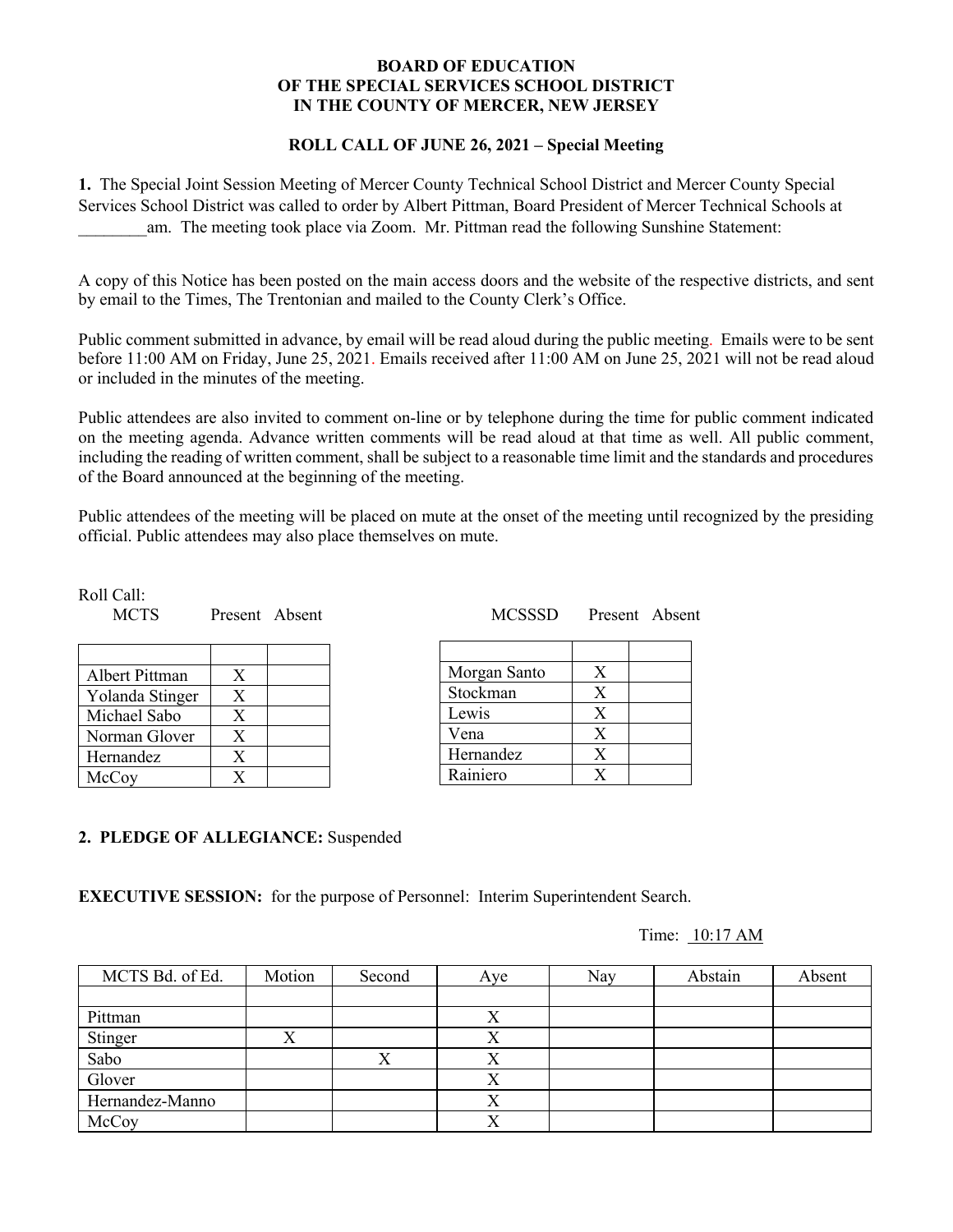#### **BOARD OF EDUCATION OF THE SPECIAL SERVICES SCHOOL DISTRICT IN THE COUNTY OF MERCER, NEW JERSEY**

### **ROLL CALL OF JUNE 26, 2021 – Special Meeting**

**1.** The Special Joint Session Meeting of Mercer County Technical School District and Mercer County Special Services School District was called to order by Albert Pittman, Board President of Mercer Technical Schools at am. The meeting took place via Zoom. Mr. Pittman read the following Sunshine Statement:

A copy of this Notice has been posted on the main access doors and the website of the respective districts, and sent by email to the Times, The Trentonian and mailed to the County Clerk's Office.

Public comment submitted in advance, by email will be read aloud during the public meeting. Emails were to be sent before 11:00 AM on Friday, June 25, 2021. Emails received after 11:00 AM on June 25, 2021 will not be read aloud or included in the minutes of the meeting.

Public attendees are also invited to comment on-line or by telephone during the time for public comment indicated on the meeting agenda. Advance written comments will be read aloud at that time as well. All public comment, including the reading of written comment, shall be subject to a reasonable time limit and the standards and procedures of the Board announced at the beginning of the meeting.

Public attendees of the meeting will be placed on mute at the onset of the meeting until recognized by the presiding official. Public attendees may also place themselves on mute.

Roll Call:

MCTS Present Absent MCSSSD Present Absent

| Albert Pittman  | X |  |
|-----------------|---|--|
| Yolanda Stinger | X |  |
| Michael Sabo    | X |  |
| Norman Glover   | X |  |
| Hernandez       | X |  |
| McCoy           |   |  |

| <b>MCSSS</b> |
|--------------|

| Morgan Santo | X |  |
|--------------|---|--|
| Stockman     | X |  |
| Lewis        | X |  |
| Vena         | X |  |
| Hernandez    | X |  |
| Rainiero     |   |  |

# **2. PLEDGE OF ALLEGIANCE:** Suspended

**EXECUTIVE SESSION:** for the purpose of Personnel: Interim Superintendent Search.

#### Time: 10:17 AM

| MCTS Bd. of Ed. | Motion | Second | Aye | Nay | Abstain | Absent |
|-----------------|--------|--------|-----|-----|---------|--------|
|                 |        |        |     |     |         |        |
| Pittman         |        |        |     |     |         |        |
| Stinger         |        |        |     |     |         |        |
| Sabo            |        |        | ∡   |     |         |        |
| Glover          |        |        |     |     |         |        |
| Hernandez-Manno |        |        |     |     |         |        |
| McCoy           |        |        |     |     |         |        |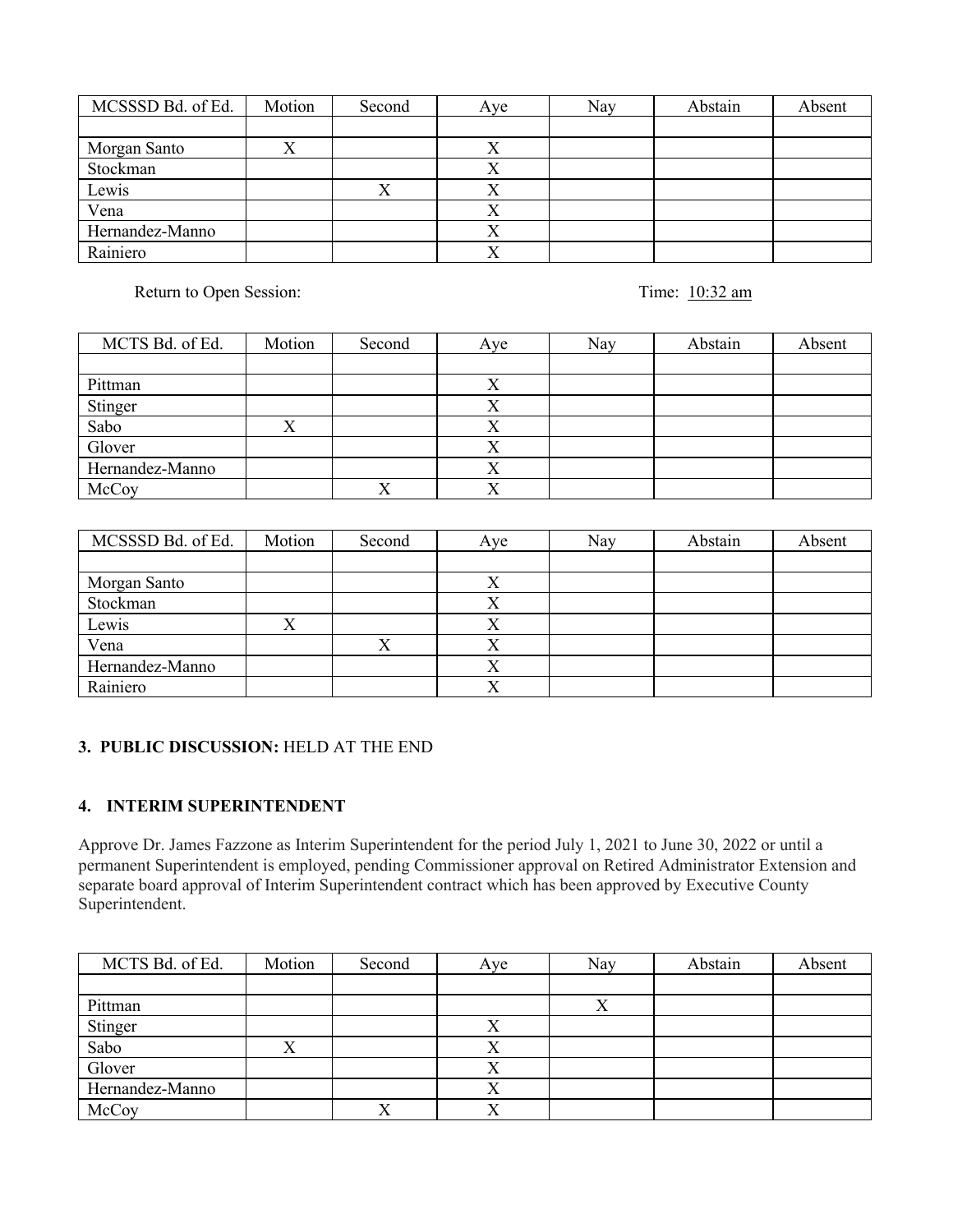| MCSSSD Bd. of Ed. | Motion | Second | Aye | Nay | Abstain | Absent |
|-------------------|--------|--------|-----|-----|---------|--------|
|                   |        |        |     |     |         |        |
| Morgan Santo      |        |        |     |     |         |        |
| Stockman          |        |        |     |     |         |        |
| Lewis             |        |        |     |     |         |        |
| Vena              |        |        |     |     |         |        |
| Hernandez-Manno   |        |        |     |     |         |        |
| Rainiero          |        |        |     |     |         |        |

Return to Open Session: Time:  $\frac{10:32 \text{ am}}{2}$ 

| MCTS Bd. of Ed. | Motion | Second | Aye       | Nay | Abstain | Absent |
|-----------------|--------|--------|-----------|-----|---------|--------|
|                 |        |        |           |     |         |        |
| Pittman         |        |        |           |     |         |        |
| Stinger         |        |        | $\Lambda$ |     |         |        |
| Sabo            | л      |        | $\Lambda$ |     |         |        |
| Glover          |        |        | ∡         |     |         |        |
| Hernandez-Manno |        |        |           |     |         |        |
| McCoy           |        |        | $\Lambda$ |     |         |        |

| MCSSSD Bd. of Ed. | Motion | Second | Aye | Nay | Abstain | Absent |
|-------------------|--------|--------|-----|-----|---------|--------|
|                   |        |        |     |     |         |        |
| Morgan Santo      |        |        |     |     |         |        |
| Stockman          |        |        |     |     |         |        |
| Lewis             |        |        | △   |     |         |        |
| Vena              |        |        |     |     |         |        |
| Hernandez-Manno   |        |        |     |     |         |        |
| Rainiero          |        |        | ↗   |     |         |        |

#### **3. PUBLIC DISCUSSION:** HELD AT THE END

### **4. INTERIM SUPERINTENDENT**

Approve Dr. James Fazzone as Interim Superintendent for the period July 1, 2021 to June 30, 2022 or until a permanent Superintendent is employed, pending Commissioner approval on Retired Administrator Extension and separate board approval of Interim Superintendent contract which has been approved by Executive County Superintendent.

| MCTS Bd. of Ed. | Motion | Second | Aye | Nay | Abstain | Absent |
|-----------------|--------|--------|-----|-----|---------|--------|
|                 |        |        |     |     |         |        |
| Pittman         |        |        |     |     |         |        |
| Stinger         |        |        |     |     |         |        |
| Sabo            | △      |        |     |     |         |        |
| Glover          |        |        |     |     |         |        |
| Hernandez-Manno |        |        |     |     |         |        |
| McCoy           |        |        |     |     |         |        |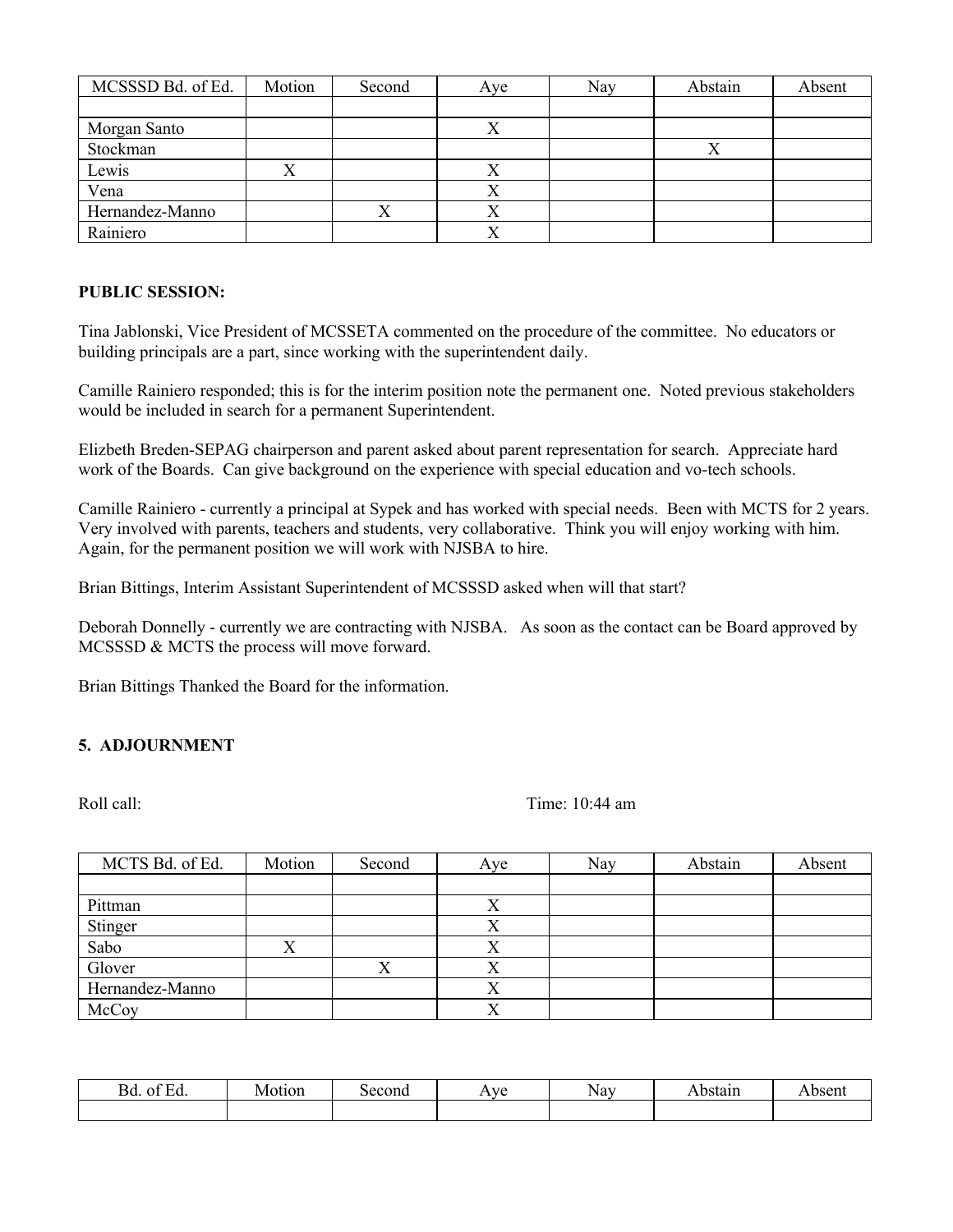| MCSSSD Bd. of Ed. | Motion    | Second | Aye       | Nay | Abstain | Absent |
|-------------------|-----------|--------|-----------|-----|---------|--------|
|                   |           |        |           |     |         |        |
| Morgan Santo      |           |        |           |     |         |        |
| Stockman          |           |        |           |     | Λ       |        |
| Lewis             | $\lambda$ |        | $\Lambda$ |     |         |        |
| Vena              |           |        |           |     |         |        |
| Hernandez-Manno   |           |        | 7         |     |         |        |
| Rainiero          |           |        |           |     |         |        |

## **PUBLIC SESSION:**

Tina Jablonski, Vice President of MCSSETA commented on the procedure of the committee. No educators or building principals are a part, since working with the superintendent daily.

Camille Rainiero responded; this is for the interim position note the permanent one. Noted previous stakeholders would be included in search for a permanent Superintendent.

Elizbeth Breden-SEPAG chairperson and parent asked about parent representation for search. Appreciate hard work of the Boards. Can give background on the experience with special education and vo-tech schools.

Camille Rainiero - currently a principal at Sypek and has worked with special needs. Been with MCTS for 2 years. Very involved with parents, teachers and students, very collaborative. Think you will enjoy working with him. Again, for the permanent position we will work with NJSBA to hire.

Brian Bittings, Interim Assistant Superintendent of MCSSSD asked when will that start?

Deborah Donnelly - currently we are contracting with NJSBA. As soon as the contact can be Board approved by MCSSSD & MCTS the process will move forward.

Brian Bittings Thanked the Board for the information.

#### **5. ADJOURNMENT**

Roll call: Time: 10:44 am

| MCTS Bd. of Ed. | Motion | Second | Aye            | Nay | Abstain | Absent |
|-----------------|--------|--------|----------------|-----|---------|--------|
|                 |        |        |                |     |         |        |
| Pittman         |        |        | △              |     |         |        |
| Stinger         |        |        | 7<br>$\Lambda$ |     |         |        |
| Sabo            | л      |        | $\Lambda$      |     |         |        |
| Glover          |        |        |                |     |         |        |
| Hernandez-Manno |        |        | $\Lambda$      |     |         |        |
| McCoy           |        |        | Λ              |     |         |        |

| $\alpha$ m $\beta$<br><b>Bd</b><br>оt<br>Ed | Motion | Second | Aye | - -<br>Nay | Abstain | Absem |
|---------------------------------------------|--------|--------|-----|------------|---------|-------|
|                                             |        |        |     |            |         |       |